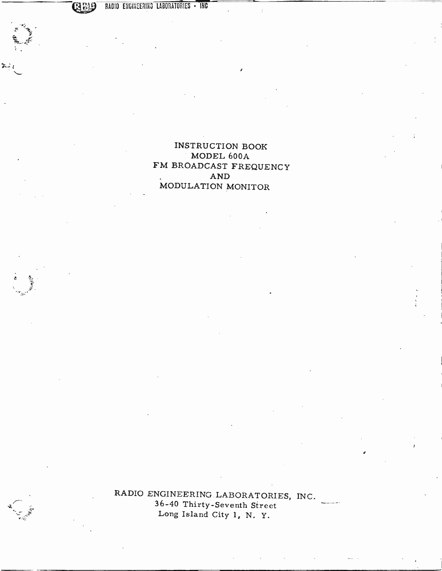RADIO ENGINEERING LABORATORIES - INC

INSTRUCTION BOOK MODEL 600A FM BROADCAST FREQUENCY AND MODULATION MONITOR

RADIO ENGINEERING LABORATORIES, INC. 36 -40 Thirty -Seventh Street Long Island City 1, N. Y.

**CARL AND READY**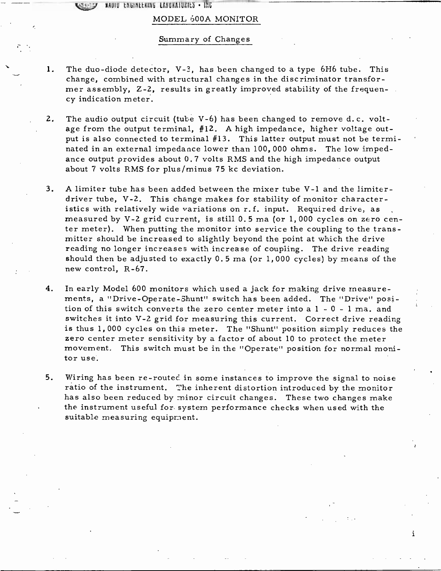KAUIU thuinttking labukaiurits Inc

#### MODEL 600A MONITOR

#### Summary of Changes

- 1. The duo -diode detector, V -3, has been changed to a type 6H6 tube. This change, combined with structural changes in the discriminator transformer assembly, Z -2, results in greatly improved stability of the frequency indication meter.
- 2. The audio output circuit (tube V-6) has been changed to remove d.c. voltage from the output terminal, #12. A high impedance, higher voltage output is also connected to terminal #13. This latter output must not be terminated in an external impedance lower than 100, 000 ohms. The low impedance output provides about 0.7 volts RMS and the high impedance output about 7 volts RMS for plus/minus 75 kc deviation.
- 3. A limiter tube has been added between the mixer tube V-1 and the limiter-<br>driver tube, V-2. This change makes for stability of monitor characteristics with relatively wide variations on r.f. input. Required drive, as measured by V -2 grid current, is still 0.5 ma (or 1, 000 cycles on zero center meter). When putting the monitor into service the coupling to the transmitter should be increased to slightly beyond the point at which the drive reading no longer increases with increase of coupling. The drive reading should then be adjusted to exactly 0.5 ma (or 1, 000 cycles) by means of the new control, R -67.
- 4. In early Model 600 monitors which used a jack for making drive measurements, a "Drive- Operate - Shunt" switch has been added. The "Drive" position of this switch converts the zero center meter into a 1 - 0 - 1 ma. and switches it into V-2 grid for measuring this current. Correct drive reading is thus 1,000 cycles on this meter. The "Shunt" position simply reduces the zero center meter sensitivity by a factor of about 10 to protect the meter movement. This switch must be in the "Operate" position for normal monitor use.
- 5. Wiring has been re-routed in some instances to improve the signal to noise ratio of the instrument. The inherent distortion introduced by the monitor has also been reduced by minor circuit changes. These two changes make the instrument useful for system performance checks when used with the suitable measuring equipment.

i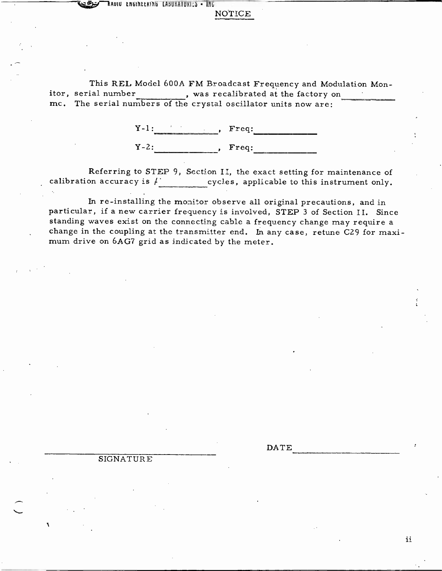KRUIU LNGINLLKING LABUKAIUKIES • ING

#### NOTICE

This REL Model 600A FM Broadcast Frequency and Modulation Mon-<br>itor, serial number , was recalibrated at the factory on itor, serial number , was recalibrated at the factory on mc. The serial numbers of the crystal oscillator units now are:

> $Y-1:$  ,  $Freq:$  $Y-2:$  ,  $Freq:$

Referring to STEP 9, Section II, the exact setting for maintenance of calibration accuracy is  $\mu$  cycles, applicable to this instrument only.

In re-installing the monitor observe all original precautions, and in particular, if a new carrier frequency is involved, STEP 3 of Section II. Since standing waves exist on the connecting cable a frequency change may require a change in the coupling at the transmitter end. In any case, retune C29 for maximum drive on 6AG7 grid as indicated by the meter.

DATE

#### SIGNATURE

ii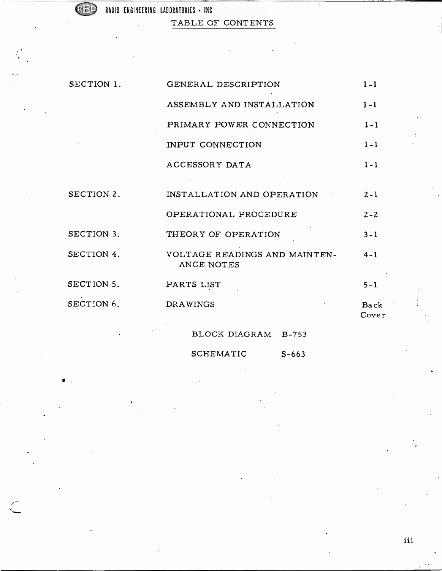$35!$ 

ģ,

RADIO ENGINEERING LABORATORIES - INC

TABLE OF CONTENTS

| SECTION 1. | GENERAL DESCRIPTION                         | $1 - 1$       |
|------------|---------------------------------------------|---------------|
|            | ASSEMBLY AND INSTALLATION                   | $1 - 1$       |
|            | PRIMARY POWER CONNECTION                    | $1 - 1$       |
|            | INPUT CONNECTION                            | $1 - 1$       |
|            | ACCESSORY DATA                              | $1 - 1$       |
|            |                                             |               |
| SECTION 2. | INSTALLATION AND OPERATION                  | $2 - 1$       |
|            | OPERATIONAL PROCEDURE                       | $2 - 2$       |
| SECTION 3. | THEORY OF OPERATION                         | $3 - 1$       |
| SECTION 4. | VOLTAGE READINGS AND MAINTEN-<br>ANCE NOTES | $4 - 1$       |
| SECTION 5. | PARTS LIST                                  | $5 - 1$       |
| SECTION 6. | <b>DRAWINGS</b>                             | Back<br>Cover |
|            | BLOCK DIAGRAM B-753                         |               |

SCHEMATIC S-663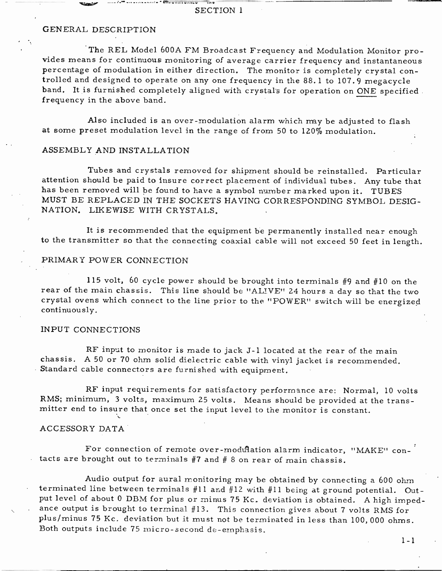#### SECTION 1

 $-49911490164$ 

#### GENERAL DESCRIPTION

The REL Model 600A FM Broadcast Frequency and Modulation Monitor pro- vides means for continuous monitoring of average carrier frequency and instantaneous percentage of modulation in either direction. The monitor is completely crystal controlled and designed to operate on any one frequency in the 88.1 to 107.9 megacycle band. It is furnished completely aligned with crystals for operation on ONE specified frequency in the above band.

Also included is an over -modulation alarm which may be adjusted to flash at some preset modulation level in the range of from 50 to 120% modulation.

#### ASSEMBLY AND INSTALLATION

Tubes and crystals removed for shipment should be reinstalled. Particular attention should be paid to insure correct placement of individual tubes. Any tube that has been removed will be found to have a symbol number marked upon it. TUBES MUST BE REPLACED IN THE SOCKETS HAVING CORRESPONDING SYMBOL DESIG-NATION. LIKEWISE WITH CRYSTALS.

It is recommended that the equipment be permanently installed near enough to the transmitter so that the connecting coaxial cable will not exceed 50 feet in length.

#### PRIMARY POWER CONNECTION

115 volt, 60 cycle power should be brought into terminals #9 and #10 on the rear of the main chassis. This line should be "ALIVE" 24 hours a day so that the two crystal ovens which connect to the line prior to the "POWER" switch will be energized continuously.

#### INPUT CONNECTIONS

RF input to monitor is made to jack J-1 located at the rear of the main chassis. A 50 or 70 ohm solid dielectric cable with vinyl jacket is recommended. Standard cable connectors are furnished with equipment.

RF input requirements for satisfactory performance are: Normal, 10 volts RMS; minimum, 3 volts, maximum 25 volts. Means should be provided at the trans- mitter end to insure that once set the input level to the monitor is constant.

#### ACCESSORY DATA

For connection of remote over-modulation alarm indicator, "MAKE" contacts are brought out to terminals #7 and # 8 on rear of main chassis.

Audio output for aural monitoring may be obtained by connecting a 600 ohm terminated line between terminals #11 and #12 with #11 being at ground potential. Output level of about 0 DBM for plus or minus 75 Kc. deviation is obtained. A high impedance output is brought to terminal #13. This connection gives about 7 volts RMS for plus/minus 75 Kc. deviation but it must not be terminated in less than 100,000 ohms. Both outputs include 75 micro- second de- emphasis.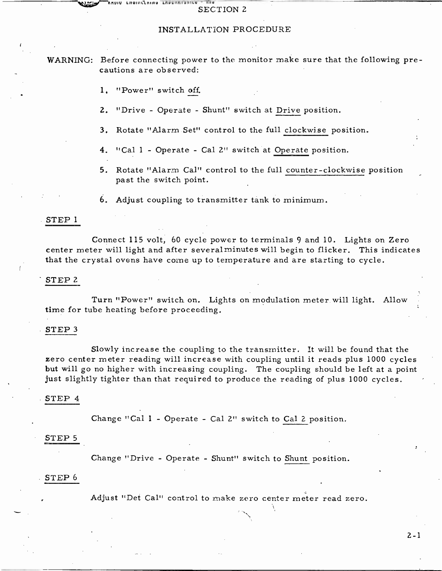#### INSTALLATION PROCEDURE

WARNING: Before connecting power to the monitor make sure that the following precautions are observed:

1. "Power" switch off

ANUIV LIIUINLLAINU LAUVANIVAIL

- 2. "Drive Operate Shunt" switch at Drive position.
- 3. Rotate "Alarm Set" control to the full clockwise position.
- 4. "Cal 1 Operate Cal 2" switch at Operate position.
- 5. Rotate "Alarm Cal" control to the full counter -clockwise position past the switch point.

6. Adjust coupling to transmitter tank to minimum.

#### STEP 1

Connect 115 volt, 60 cycle power to terminals 9 and 10. Lights on Zero center meter will light and after several minutes will begin to flicker. This indicates that the crystal ovens have come up to temperature and are starting to cycle.

#### STEP<sub>2</sub>

Turn "Power" switch on. Lights on modulation meter will light. Allow time for tube heating before proceeding.

#### STEP <sup>3</sup>

Slowly increase the coupling to the transmitter. It will be found that the zero center meter reading will increase with coupling until it reads plus 1000 cycles but will go no higher with increasing coupling. The coupling should be left at a point just slightly tighter than that required to produce the reading of plus 1000 cycles.

#### STEP 4

Change "Cal 1 - Operate - Cal 2" switch to Cal 2. position.

#### STEP <sup>5</sup>

Change "Drive - Operate - Shunt" switch to Shunt position.

#### STEP <sup>6</sup>

Adjust "Det Cal" control to make zero center meter read zero.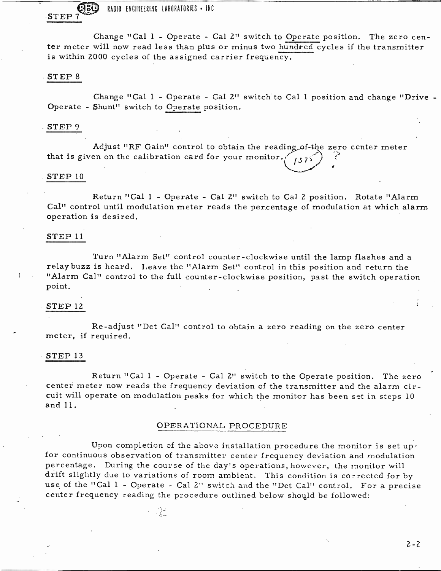RADIO ENGINEERING LABORATORIES . INC STEP<sub>7</sub>

Change "Cal 1 - Operate - Cal 2" switch to Operate position. The zero center meter will now read less than plus or minus two hundred cycles if the transmitter is within 2000 cycles of the assigned carrier frequency.

#### STEP <sup>8</sup>

Change "Cal 1 - Operate - Cal 2" switch to Cal 1 position and change "Drive - Operate - Shunt" switch to Operate position.

#### STEP <sup>9</sup>

Adjust "RF Gain" control to obtain the reading of-the zero center meter that is given on the calibration card for your monitor. $\frac{1}{3}$  75

# $STEP$  10

Return "Cal 1 - Operate - Cal 2" switch to Cal 2 position. Rotate "Alarm Cal" control until modulation meter reads the percentage of modulation at which alarm operation is desired.

#### STEP <sup>11</sup>

Turn "Alarm Set" control counter -clockwise until the lamp flashes and a relaybuzz is heard. Leave the "Alarm Set" control in this position and return the "Alarm Cal" control to the full counter- clockwise position, past the switch operation point.

#### STEP 12

Re- adjust "Det Cal" control to obtain a zero reading on the zero center meter, if required.

#### STEP 13

Return "Cal 1 - Operate - Cal 2" switch to the Operate position. The zero center meter now reads the frequency deviation of the transmitter and the alarm circuit will operate on modulation peaks for which the monitor has been set in steps <sup>10</sup> and 11.

#### OPERATIONAL PROCEDURE

Upon completion of the above installation procedure the monitor is set uppfor continuous observation of transmitter center frequency deviation and modulation percentage. During the course of the day's operations, however, the monitor will drift slightly due to variations of room ambient. This condition is corrected for by use of the "Cal 1 - Operate - Cal 2" switch and the "Det Cal" control. For a precise center frequency reading the procedure outlined below should be followed: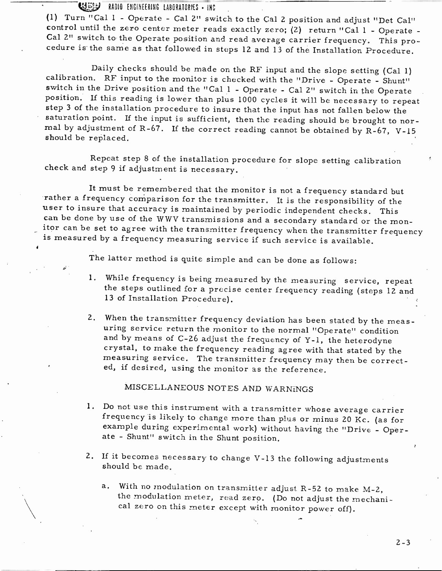U.1533 RADIO ENGINEERING LABORATORIES - INC

(1) Turn "Cal 1 - Operate - Cal 2" switch to the Cal 2 position and adjust "Det Cal" control until the zero center meter reads exactly zero; (2) return "Cal 1 - Operate - Cal 2" switch to the Operate position and read ave

Daily checks should be made on the RF input and the slope setting (Cal 1) calibration. RF input to the monitor is checked with the "Drive - Operate - Shunt" switch in the Drive position and the "Cal 1 - Operate - Cal 2" s

Repeat step 8 of the installation procedure for slope setting calibration check and step 9 if adjustment is necessary.

It must be remembered that the monitor is not a frequency standard but rather a frequency comparison for the transmitter. It is the responsibility of the user to insure that accuracy is maintained by periodic independent checks. This can be done by use of the WWV transmissions and a secondary standard or the monitor can be set to agree with the transmitter frequency when the transmitter frequency<br>is measured by a frequency measuring service if such service is available.

The latter method is quite simple and can be done as follows:

- 1. While frequency is being measured by the measuring service, repeat the steps outlined for a precise center frequency reading (steps 12 and <sup>13</sup>of Installation Procedure).
- 2. When the transmitter frequency deviation has been stated by the meas-<br>uring service return the monitor to the normal "Operate" condition<br>and by means of C-26 adjust the frequency of Y-1, the heterodyne<br>crystal, to make

# MISCELLANEOUS NOTES AND WARNINGS

- 1. Do not use this instrument with a transmitter whose average carrier<br>frequency is likely to change more than plus or minus 20 Kc. (as for<br>example during experimental work) without having the "Drive Oper-<br>ate Shunt" s
- 2. If it becomes necessary to change V -13 the following adjustments should be made.
	- a. With no modulation on transmitter adjust R-52 to make M-2, the modulation meter, read zero. (Do not adjust the mechani- cal zero on this meter except with monitor power off).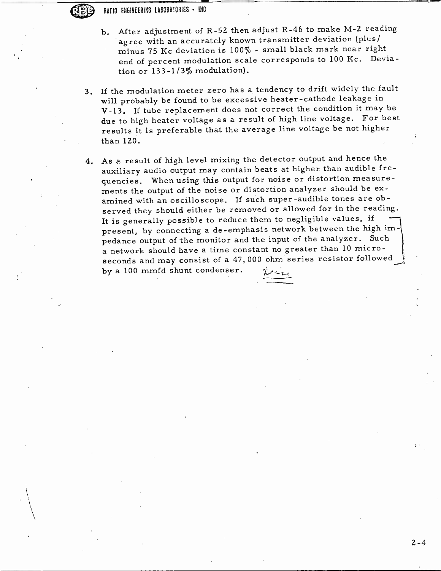RADIO ENGINEERING LABORATORIES - INC

- b. After adjustment of R-52 then adjust R-46 to make M-2 reading agree with an accurately known transmitter deviation (plus / minus 75 Kc deviation is 100% - small black mark near right end of percent modulation scale corresponds to 100 Kc. Deviation or 133 -1/3% modulation).
- 3. If the modulation meter zero has a tendency to drift widely the fault will probably be found to be excessive heater - cathode leakage in <sup>V</sup>-13. If tube replacement does not correct the condition it may be due to high heater voltage as a result of high line voltage. For best results it is preferable that the average line voltage be not higher than 120.
- 4. As a result of high level mixing the detector output and hence the auxiliary audio output may contain beats at higher than audible frequencies. When using this output for noise or distortion measurements the output of the noise or distortion analyzer should be examined with an oscilloscope. If such super -audible tones are observed they should either be removed or allowed for in the reading. It is generally possible to reduce them to negligible values, if present, by connecting a de-emphasis network between the high impedance output of the monitor and the input of the analyzer. Such a network should have a time constant no greater than 10 microseconds and may consist of a 47, 000 ohm series resistor followed by a 100 mmfd shunt condenser.  $\psi_{\ell+1}$

 $2 - 4$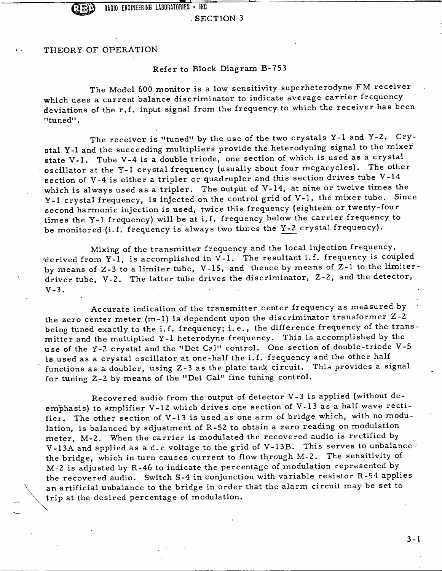- SECTION <sup>3</sup>

THEORY OF OPERATION

#### Refer to Block Diagram B -753

The Model 600 monitor is a low sensitivity superheterodyne FM receiver which uses a current balance discriminator to indicate average carrier frequency deviations of the r.f. input signal from the frequency to which the receiver has been "tuned".

The receiver is "tuned" by the use of the two crystals Y-1 and Y-2. Crystal Y -1 and the succeeding multipliers provide the heterodyning signal to the mixer state V-1. Tube V-4 is a double triode, one section of which is used as a crystal oscillator at the Y-1 crystal frequency (usually about four megacycles). The other section of V -4 is either a tripler or quadrupler and this section drives tube V -14 which is always used as a tripler. The output of V-14, at nine or twelve times the <sup>Y</sup>-1 crystal frequency, is injected on the control grid of V -1, the mixer tube. Since second harmonic injection is used, twice this frequency (eighteen or twenty -four times the Y-1 frequency) will be at i.f. frequency below the carrier frequency to be monitored (i.f. frequency is always two times the Y-2 crystal frequency).

Mixing of the transmitter frequency and the local injection frequency, derived from Y-1, is accomplished in V-1. The resultant i.f. frequency is coupled by means of Z-3 to a limiter tube, V-15, and thence by means of Z-1 to the limiter-<br>driver tube, V-2. The latter tube drives the discriminator, Z-2, and the detector,  $V - 3$ .

Accurate indication of the transmitter center frequency as measured by the zero center meter (m -1) is dependent upon the discriminator transformer Z -2 being tuned exactly to the i.f. frequency; i.e., the difference frequency of the transmitter and the multiplied Y -1 heterodyne frequency. This is accomplished by the use of the Y-2 crystal and the "Det Cal" control. One section of double-triode V-5 is used as a crystal oscillator at one -half the i.f. frequency and the other half functions as a doubler, using Z -3 as the plate tank circuit. This provides a signal for tuning Z -2 by means of the "Det Cal" fine tuning control.

Recovered audio from the output of detector V -3 is applied (without deemphasis) to amplifier V -12 which drives one section of V -13 as a half wave rectifier. The other section of V -13 is used as one arm of bridge which, with no modulation, is balanced by adjustment of R -52 to obtain a zero reading on modulation meter, M-2. When the carrier is modulated the recovered audio is rectified by V-13A and applied as a d. c voltage to the grid of V-13B. This serves to unbalance the bridge, which in turn causes current to flow through M -2. The sensitivity of <sup>M</sup>-2 is adjusted by R -46 to indicate the percentage of modulation represented by the recovered audio. Switch S-4 in conjunction with variable resistor R-54 applies an artificial unbalance to the bridge in order that the alarm circuit may be set to trip at the desired percentage of modulation.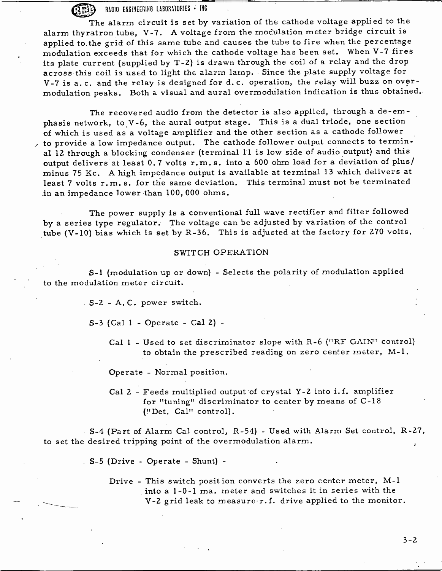RADIO ENGINEERING LABORATORIES - INC

The alarm circuit is set by variation of the cathode voltage applied to the alarm thyratron tube, V-7. A voltage from the modulation meter bridge circuit is applied to the grid of this same tube and causes the tube to fire when the percentage modulation exceeds that for which the cathode voltage has been set. When V -7 fires its plate current (supplied by T -2) is drawn through the coil of a relay and the drop across this coil is used to light the alarm lamp. Since the plate supply voltage for V-7 is a.c. and the relay is designed for d.c. operation, the relay will buzz on over-<br>modulation peaks. Both a visual and aural overmodulation indication is thus obtained.

The recovered audio from the detector is also applied, through a de-em-<br>phasis network, to V-6, the aural output stage. This is a dual triode, one section of which is used as a voltage amplifier and the other section as a cathode follower to provide a low impedance output. The cathode follower output connects to terminal 12 through a blocking condenser (terminal 11 is low side of audio output) and this output delivers at least 0.7 volts r.m. s. into a 600 ohm load for a deviation of plus/ minus 75 Kc. A high impedance output is available at terminal 13 which delivers at least 7 volts r.m.s. for the same deviation. This terminal must not be terminated in an impedance lower than 100, 000 ohms.

The power supply is a conventional full wave rectifier and filter followed by a series type regulator. The voltage can be adjusted by variation of the control tube (V-10) bias which is set by R-36. This is adjusted at the factory for 270 volts.

#### SWITCH OPERATION

<sup>S</sup>-1 (modulation up or down) - Selects the polarity of modulation applied to the modulation meter circuit.

<sup>S</sup>-2 - A. C. power switch.

S -3 (Cal 1 - Operate - Cal 2) -

Cal 1 - Used to set discriminator slope with R-6 ("RF GAIN" control) to obtain the prescribed reading on zero center meter, M-1.

Operate - Normal position.

Cal 2 - Feeds multiplied output of crystal Y -2 into i.f. amplifier for "tuning" discriminator to center by means of C -18 (!'Det. Cal" control).

<sup>S</sup>-4 (Part of Alarm Cal control, R -54) - Used with Alarm Set control, R -27, to set the desired tripping point of the overmodulation alarm.

S -5 (Drive - Operate - Shunt) -

Drive - This switch position converts the zero center meter, M-1 into a 1-0-1 ma. meter and switches it in series with the V-2 grid leak to measure  $r.f.$  drive applied to the monitor.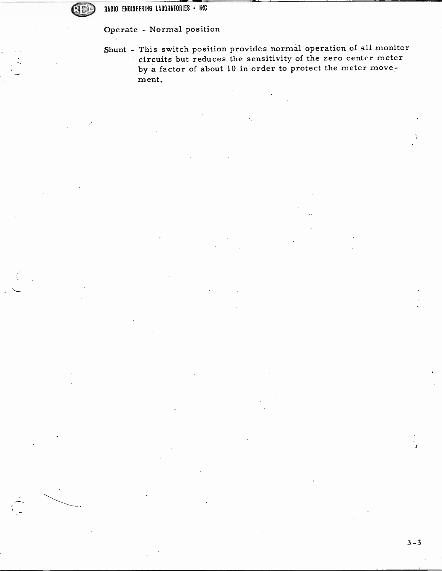Operate - Normal position

Shunt - This switch position provides normal operation of all monitor circuits but reduces the sensitivity of the zero center meter by a factor of about 10 in order to protect the meter movement.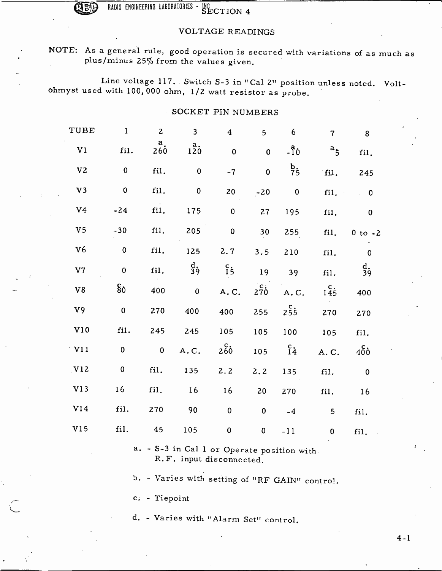RADIO ENGINEERING LABORATORIES · NC SECTION 4

### VOLTAGE READINGS

# NOTE: As a general rule, good operation is secured with variations of as much as plus/minus 25% from the values given.

Line voltage 117. Switch S-3 in "Cal 2" position unless noted. Volt-<br>ohmyst used with 100,000 ohm, 1/2 watt resistor as probe.

### SOCKET PIN NUMBERS

| TUBE            | $\mathbf{1}$   | $\mathbf{2}$             | $\mathbf{3}$            | $\overline{\mathbf{4}}$ | 5            | 6                        | $\overline{7}$     | 8                          |  |
|-----------------|----------------|--------------------------|-------------------------|-------------------------|--------------|--------------------------|--------------------|----------------------------|--|
| V <sub>1</sub>  | fil.           | a <sub>1</sub><br>260    | $a_{\bullet}$<br>120    | $\mathbf{0}$            | $\mathbf 0$  | $-10$                    | $a_{\overline{5}}$ | fil.                       |  |
| V <sub>2</sub>  | $\pmb{0}$      | fil.                     | $\pmb{0}$               | $-7$                    | $\mathbf{0}$ | $\frac{b}{75}$           | fil.               | 245                        |  |
| V <sub>3</sub>  | $\mathbf 0$    | fil.                     | $\pmb{0}$               | 20                      | $-20$        | $\overline{\phantom{0}}$ | fil.               | $\overline{\phantom{0}}$ 0 |  |
| V <sub>4</sub>  | $-24$          | fil.                     | 175                     | $\pmb{0}$               | 27           | 195                      | fil.               | $\bf{0}$                   |  |
| V <sub>5</sub>  | $-30$          | fil.                     | 205                     | $\mathbf{0}$            | 30           | 255                      | fil.               | $0$ to $-2$                |  |
| V <sub>6</sub>  | $\pmb{0}$      | fil.                     | 125                     | 2.7                     | 3.5          | 210                      | fil.               | $\mathbf 0$                |  |
| V7              | $\mathbf 0$    | fil.                     | $\frac{d}{3}$           | $\frac{c}{15}$          | 19           | 39                       | fil.               | $\frac{d}{3}$              |  |
| V8              | 8 <sub>o</sub> | 400                      | $\overline{\mathbf{0}}$ | A.C.                    | 270          | A.C.                     | $1\overline{45}$   | 400                        |  |
| V <sub>9</sub>  | $\mathbf 0$    | 270                      | 400                     | 400                     | 255          | 255                      | 270                | 270                        |  |
| $_{\rm V10}$    | fil.           | 245                      | 245                     | 105                     | 105          | 100                      | 105                | fil.                       |  |
| V11             | $\mathbf{0}$   | $\overline{\phantom{0}}$ | A.C.                    | 260                     | 105          | $^{c}_{14}$              | A.C.               | $400$                      |  |
| V12             | $\pmb{0}$      | fil.                     | 135                     | 2.2                     | 2.2          | 135                      | fil.               | $\bf{0}$                   |  |
| V <sub>13</sub> | 16             | fil.                     | 16                      | 16                      | 20           | 270                      | fil.               | 16                         |  |
| V14             | fil.           | 270                      | 90                      | $\mathbf 0$             | $\pmb{0}$    | $-4$                     | 5                  | fil.                       |  |
| V15             | fil.           | 45                       | 105                     | $\pmb{0}$               | $\pmb{0}$    | $-11$                    | $\bf{0}$           | fil.                       |  |

a. - S-3 in Cal 1 or Operate position with. R.F. input disconnected.

b. - Varies with setting of "RF GAIN" control.

c. - Tiepoint

d. - Varies with "Alarm Set" control.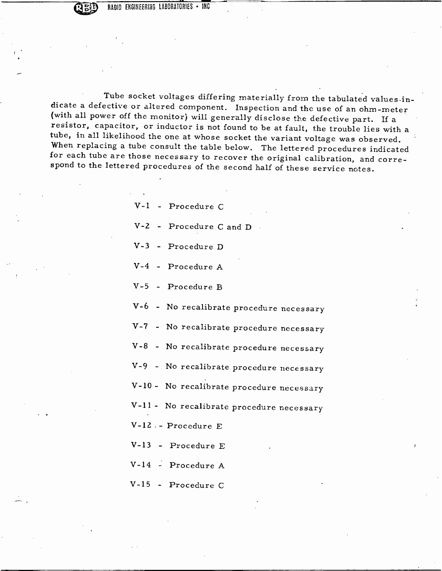RADIO ENGINEERING LABORATORIES . INC

Tube socket voltages differing materially from the tabulated values in-<br>dicate a defective or altered component. Inspection and the use of an ohm-meter<br>(with all power off the monitor) will generally disclose the defective

| V-1 - Procedure C                         |
|-------------------------------------------|
| $V-2$ - Procedure C and D                 |
| V-3 - Procedure D                         |
| V-4 - Procedure A                         |
| V-5 - Procedure B                         |
| V-6 - No recalibrate procedure necessary  |
| V-7 - No recalibrate procedure necessary  |
| V-8 - No recalibrate procedure necessary  |
| V-9 - No recalibrate procedure necessary  |
| V-10 - No recalibrate procedure necessary |
| V-11 - No recalibrate procedure necessary |
| V-12. - Procedure E                       |
| V-13 - Procedure E                        |
| V-14 - Procedure A                        |
| V-15 - Procedure C                        |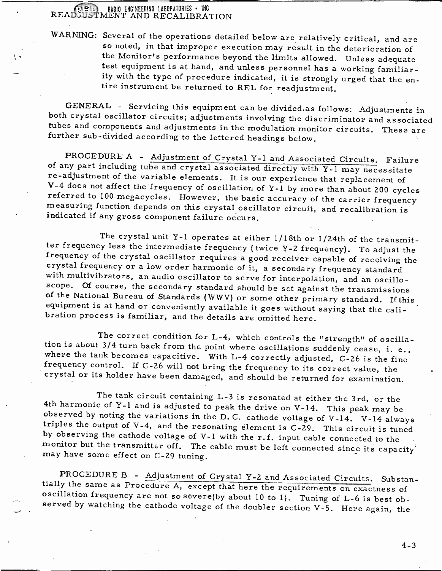# **THE RADIO ENGINEERING LABORATORIES · INC READ, JUST MENT AND RECALIBRATION**

WARNING: Several of the operations detailed below are relatively critical, and are so noted, in that improper execution may result in the deterioration of<br>the Monitor's performance beyond the limits allowed. Unless adequate<br>test equipment is at hand, and unless personnel has a working familiar-<br>ity with

GENERAL - Servicing this equipment can be divided, as follows: Adjustments in both crystal oscillator circuits; adjustments involving the discriminator and associated tubes and components and adjustments in the modulation

PROCEDURE A - Adjustment of Crystal Y -1 and Associated Circuits. Failure of any part including tube and crystal associated directly with Y -1 may necessitate re-adjustment of the variable elements. It is our experience that replacement of<br>V-4 does not affect the frequency of oscillation of Y-1 by more than about 200 cycles referred to 100 megacycles. However, the basic accuracy of the carrier frequency measuring function depends on this crystal oscillator circuit, and recalibration is indicated if any gross component failure occurs.

The crystal unit Y-1 operates at either 1/18th or 1/24th of the transmit-<br>ter frequency less the intermediate frequency (twice Y-2 frequency). To adjust the<br>frequency of the crystal oscillator requires a good receiver capa scope. Of course, the secondary standard should be set against the transmissions of the National Bureau of Standards (WWV) or some other primary standard. If this equipment is at hand or conveniently available it goes with

The correct condition for L-4, which controls the "strength" of oscilla-<br>tion is about 3/4 turn back from the point where oscillations suddenly cease, i. e.,<br>where the tank becomes capacitive. With L-4 correctly adjusted,

The tank circuit containing L-3 is resonated at either the 3rd, or the<br>4th harmonic of Y-1 and is adjusted to peak the drive on V-14. This peak may be<br>observed by noting the variations in the D.C. cathode voltage of V-14.

PROCEDURE B - Adjustment of Crystal Y-2 and Associated Circuits. Substantially the same as Procedure A, except that here the requirements on exactness of oscillation frequency are not so severe(by about 10 to 1). Tuning of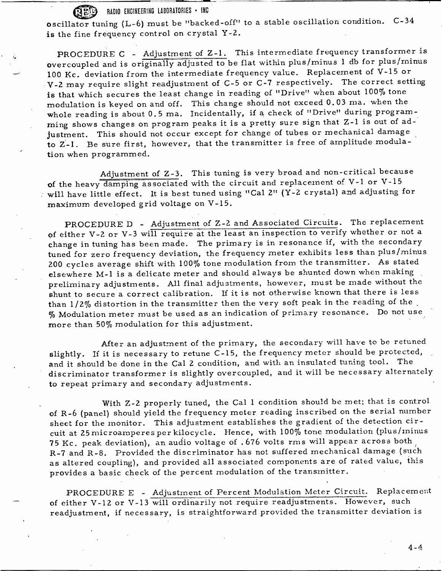### RADIO ENGINEERING LABORATORIES . INC

oscillator tuning (L-6) must be "backed-off" to a stable oscillation condition. C-34 is the fine frequency control on crystal Y-2.

PROCEDURE C - Adjustment of Z -1. This intermediate frequency transformer is overcoupled and is originally adjusted to be flat within plus /minus 1 db for plus /minus 100 Kc. deviation from the intermediate frequency value. Replacement of  $V$ -15 or <sup>V</sup>-2 may require slight readjustment of C -5 or C -7 respectively. The correct setting is that which secures the least change in reading of "Drive" when about 100% tone modulation is keyed on and off. This change should not exceed 0.03 ma. when the whole reading is about 0.5 ma. Incidentally, if a check of "Drive" during programming shows changes on program peaks it is a pretty sure sign that Z -1 is out of adjustment. This should not occur except for change of tubes or mechanical damage to Z-1. Be sure first, however, that the transmitter is free of amplitude modulation when programmed.

Adjustment of Z-3. This tuning is very broad and non-critical because of the heavy damping associated with the circuit and replacement of V-1 or V-15 will have little effect. It is best tuned using "Cal 2" (Y -2 crystal) and adjusting for maximum developed grid voltage on V -15.

PROCEDURE D - Adjustment of Z -2 and Associated Circuits. The replacement of either V -2 or V -3 will require at the least an inspection to verify whether or not <sup>a</sup> change in tuning has been made. The primary is in resonance if, with the secondary tuned for zero frequency deviation, the frequency meter exhibits less than plus/minus 200 cycles average shift with 100% tone modulation from the transmitter. As stated elsewhere M-1 is a delicate meter and should always be shunted down when making preliminary adjustments. All final adjustments, however, must be made without the shunt to secure a correct calibration. If it is not otherwise known that there is less than  $1/2\%$  distortion in the transmitter then the very soft peak in the reading of the % Modulation meter must be used as an indication of primary resonance. Do not use more than 50% modulation for this adjustment.

After an adjustment of the primary, the secondary will have to be retuned slightly. If it is necessary to retune C -15, the frequency meter should be protected, and it should be done in the Cal 2 condition, and with an insulated tuning tool. The discriminator transformer is slightly overcoupled, and it will be necessary alternately to repeat primary and secondary adjustments.

With Z-2 properly tuned, the Cal 1 condition should be met; that is control of R -6 (panel) should yield the frequency meter reading inscribed on the serial number sheet for the monitor. This adjustment establishes the gradient of the detection circuit at 25 microamperes per kilocycle. Hence, with 100% tone modulation (plus /minus <sup>75</sup>Kc. peak deviation), an audio voltage of . 676 volts rms will appear across both <sup>R</sup>-7 and R -8. Provided the discriminator has not suffered mechanical damage (such as altered coupling), and provided all associated components are of rated value, this provides a basic check of the percent modulation of the transmitter.

PROCEDURE E - Adjustment of Percent Modulation Meter Circuit. Replacement of either V-12 or V-13 will ordinarily not require readjustments. However, such readjustment, if necessary, is straightforward provided the transmitter deviation is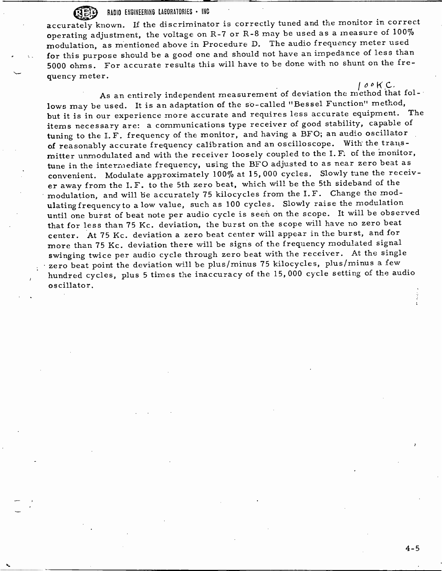## RADIO ENGINEERING LABORATORIES . INC

accurately known. If the discriminator is correctly tuned and the monitor in correct operating adjustment, the voltage on R -7 or R -8 may be used as a measure of 100% modulation, as mentioned above in Procedure D. The audio frequency meter used for this purpose should be a good one and should not have an impedance of less than 5000 ohms. For accurate results this will have to be done with no shunt on the frequency meter.

 $\mathcal{O} \circ \mathsf{K}$  C.<br>thed that fol-As an entirely independent measurement of deviation the method that follows may be used. It is an adaptation of the so-called "Bessel Function" method, but it is in our experience more accurate and requires less accurate equipment. The items necessary are: a communications type receiver of good stability, capable of tuning to the I.F. frequency of the monitor, and having a BFO; an audio oscillator of reasonably accurate frequency calibration and an oscilloscope. With the transmitter unmodulated and with the receiver loosely coupled to the I.F. of the monitor, tune in the intermediate frequency, using the BFO adjusted to as near zero beat as convenient. Modulate approximately 100% at 15, 000 cycles. Slowly tune the receiver away from the I.F. to the 5th zero beat, which will be the 5th sideband of the modulation, and will be accurately 75 kilocycles from the I.F. Change the mod-<br>ulatingfrequency to a low value, such as 100 cycles. Slowly raise the modulation until one burst of beat note per audio cycle is seen on the scope. It will be observed that for less than 75 Kc. deviation, the burst on the scope will have no zero beat center. At 75 Kc. deviation a zero beat center will appear in the burst, and for more than 75 Kc. deviation there will be signs of the frequency modulated signal swinging twice per audio cycle through zero beat with the receiver. At the single zero beat point the deviation will be plus /minus 75 kilocycles, plus /minus a few hundred cycles, plus 5 times the inaccuracy of the 15, 000 cycle setting of the audio oscillator.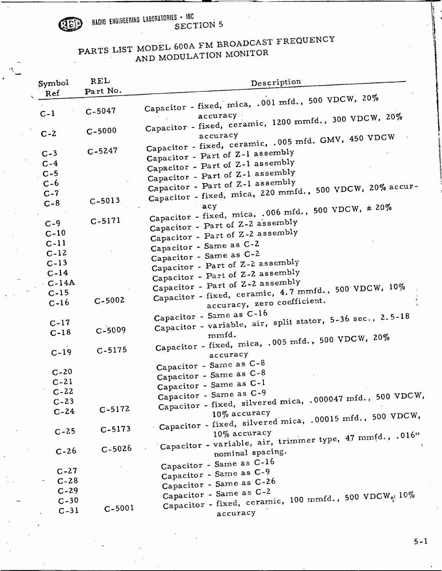

RADIO ENGIHEERING LABORATORIES . INC<br>SECTION 5

# PARTS LIST MODEL 600A FM BROADCAST FREQUENCY AND MODULATION MONITOR

| Symbol   | REL        | Description                                                                     |
|----------|------------|---------------------------------------------------------------------------------|
| Ref      | Part No.   |                                                                                 |
|          |            | Capacitor - fixed, mica, .001 mfd., 500 VDCW, 20%                               |
| $C-1$    | $C - 5047$ | accuracy -                                                                      |
|          |            | Capacitor - fixed, ceramic, 1200 mmfd., 300 VDCW, 20%                           |
| $C - 2$  | $C - 5000$ |                                                                                 |
|          |            | accuracy<br>Capacitor - fixed, ceramic, .005 mfd. GMV, 450 VDCW                 |
| $C-3$    | $C - 5247$ |                                                                                 |
| $C-4$    |            | Capacitor - Part of Z-1 assembly                                                |
| $C - 5$  |            | Capacitor - Part of Z-1 assembly                                                |
| $C - 6$  |            | Capacitor - Part of Z-1 assembly                                                |
| $C-7$    |            | Capacitor - Part of Z-1 assembly                                                |
|          | $C - 5013$ | Capacitor - fixed, mica, 220 mmfd., 500 VDCW, 20% accur-                        |
| $C - 8$  |            |                                                                                 |
|          | $C-5171$   | Capacitor - fixed, mica, .006 mfd., 500 VDCW, $\pm 20\%$                        |
| $C-9$    |            | Capacitor - Part of Z-2 assembly                                                |
| $C-10$   |            | Capacitor - Part of Z-2 assembly                                                |
| $C-11$   |            | Capacitor - Same as C-2                                                         |
| $C-12$   |            | Capacitor - Same as C-2                                                         |
| $C-13$   |            | Capacitor - Part of Z-2 assembly                                                |
| $C-14$   |            | Capacitor - Part of Z-2 assembly                                                |
| $-C-14A$ |            | Capacitor - Part of Z-2 assembly                                                |
| $C-15$   |            | Capacitor - fixed, ceramic, 4.7 mmfd., 500 VDCW, 10%                            |
| $C-16$   | $C - 5002$ | accuracy, zero coefficient.                                                     |
|          |            | Capacitor - Same as C-16                                                        |
| $C-17$   |            | Capacitor - variable, air, split stator, 5-36 sec., 2.5-18                      |
| $C-18$   | $C - 5009$ | mmfd.                                                                           |
|          |            | Capacitor - fixed, mica, .005 mfd., 500 VDCW, 20%                               |
| $C-19$   | $C - 5175$ | accuracy                                                                        |
|          |            | Capacitor - Same as C-8                                                         |
| $C-20$   |            | Capacitor - Same as C-8                                                         |
| $C-21$   |            | Capacitor - Same as C-1                                                         |
| $C-22$   |            | Capacitor - Same as C-9<br>500 VDCW,                                            |
| $C-23$   |            | Capacitor - fixed, silvered mica, .000047 mfd.,                                 |
| $C-24$   | $C - 5172$ | 10% accuracy                                                                    |
|          |            | Capacitor - fixed, silvered mica, .00015 mfd., 500 VDCW,                        |
| $C - 25$ | $C-5173$   | $10\%$ accuracy                                                                 |
|          |            | Capacitor - variable, air, trimmer type, 47 mmfd., .016"                        |
| $C-26$   | $C - 5026$ | nominal spacing.                                                                |
|          |            |                                                                                 |
| $C-27$   |            | Capacitor - Same as C-16                                                        |
| $C-28$   |            | Capacitor - Same as C-9                                                         |
| $C-29$   |            | Capacitor - Same as C-26                                                        |
| $C-30$   |            | Capacitor - Same as C-2<br>Capacitor - fixed, ceramic, 100 mmfd., 500 VDCW. 10% |
| $C-31$   | $C-5001$   |                                                                                 |
|          |            | accuracy                                                                        |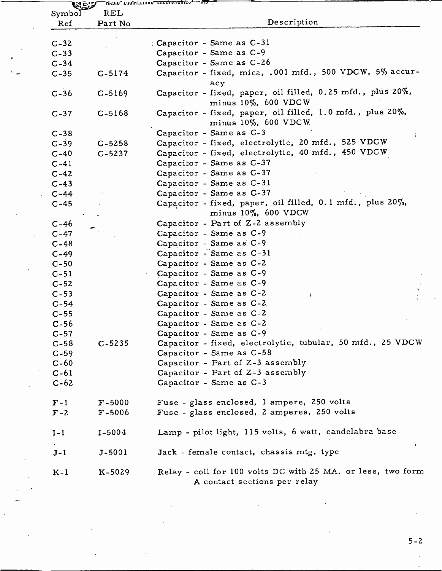| Symbol   | uej<br>REL |                                                                                             |
|----------|------------|---------------------------------------------------------------------------------------------|
| Ref      | Part No    | Description                                                                                 |
|          |            |                                                                                             |
| $C-32$   |            | Capacitor - Same as C-31                                                                    |
| $C-33$   |            | Capacitor - Same as C-9                                                                     |
| $C-34$   |            | Capacitor - Same as C-26                                                                    |
| $C-35$   | $C-5174$   | Capacitor - fixed, mica, .001 mfd., 500 VDCW, 5% accur-                                     |
|          |            | acy                                                                                         |
| $C-36$   | $C-5169$   | Capacitor - fixed, paper, oil filled, 0.25 mfd., plus 20%,<br>minus $10\%$ , 600 VDCW       |
| $C-37$   | $C-5168$   | Capacitor - fixed, paper, oil filled, 1.0 mfd., plus 20%,<br>minus 10%, 600 VDCW.           |
| $C-38$   |            | Capacitor - Same as C-3                                                                     |
| $C-39$   | $C - 5258$ | Capacitor - fixed, electrolytic, 20 mfd., 525 VDCW                                          |
| $C-40$   | $C - 5237$ | Capacitor - fixed, electrolytic, 40 mfd., 450 VDCW                                          |
| $C-41$   |            | Capacitor - Same as C-37                                                                    |
| $C-42$   |            | Capacitor - Same as C-37                                                                    |
| $C-43$   |            | Capacitor - Same as C-31                                                                    |
| $C - 44$ |            | Capacitor - Same as C-37                                                                    |
| $C-45$   |            | Capacitor - fixed, paper, oil filled, 0.1 mfd., plus 20%,<br>minus 10%, 600 VDCW            |
| $C-46$   |            | Capacitor - Part of Z-2 assembly                                                            |
| $C-47$   |            | Capacitor - Same as C-9                                                                     |
| $C-48$   |            | Capacitor - Same as C-9                                                                     |
| $C - 49$ |            | Capacitor - Same as C-31                                                                    |
| $C-50$   |            | Capacitor - Same as C-2                                                                     |
| $C-51$   |            | Capacitor - Same as C-9                                                                     |
| $C-52$   |            | Capacitor - Same as C-9                                                                     |
| $C-53$   |            | Capacitor - Same as C-2                                                                     |
| $C-54$   |            | Capacitor - Same as C-2.                                                                    |
| $C-55$   |            | Capacitor - Same as C-2                                                                     |
| $C-56$   |            | Capacitor - Same as C-2                                                                     |
| $C-57$   |            | Capacitor - Same as C-9                                                                     |
| $C-58$   | $C - 5235$ | Capacitor - fixed, electrolytic, tubular, 50 mfd., 25 VDCW                                  |
| $C-59$   |            | Capacitor - Same as C-58                                                                    |
| $C-60$   |            | Capacitor - Part of Z-3 assembly                                                            |
| $C-61$   |            | Capacitor - Part of Z-3 assembly                                                            |
| $C-62$   |            | Capacitor - Same as C-3                                                                     |
| $F-1$    | $F - 5000$ | Fuse - glass enclosed, 1 ampere, 250 volts                                                  |
| $F - 2$  | $F - 5006$ | Fuse - glass enclosed, 2 amperes, 250 volts                                                 |
| $I-1$    | $I-5004$   | Lamp - pilot light, 115 volts, 6 watt, candelabra base                                      |
| $J-1$    | $J - 5001$ | ż,<br>Jack - female contact, chassis mtg. type                                              |
| $K-1$    | $K-5029$   | Relay - coil for 100 volts DC with 25 MA. or less, two form<br>A contact sections per relay |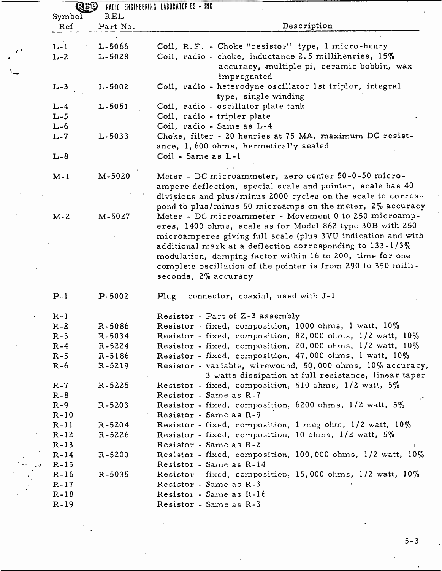| Symbol<br>Ref | REL<br>Part No. | Description                                                             |
|---------------|-----------------|-------------------------------------------------------------------------|
|               |                 |                                                                         |
| $L-1$         | $L - 5066$      | Coil, R.F. - Choke "resistor" type, 1 micro-henry                       |
| $L - 2$       | $L - 5028$      | Coil, radio - choke, inductance 2.5 millihenries, 15%                   |
|               |                 | accuracy, multiple pi, ceramic bobbin, wax                              |
|               |                 | impregnated                                                             |
| $L-3$         | $L - 5002$      | Coil, radio - heterodyne oscillator 1st tripler, integral               |
|               |                 | type, single winding                                                    |
| $L - 4$       | $L - 5051$      | Coil, radio - oscillator plate tank                                     |
| $L - 5$       |                 | Coil, radio - tripler plate                                             |
| $L - 6$       |                 | Coil, radio - Same as L-4                                               |
| $L - 7$       | $L - 5033$      | Choke, filter - 20 henries at 75 MA. maximum DC resist-                 |
|               |                 | ance, 1,600 ohms, hermetically sealed                                   |
| $L - 8$       |                 | Coil - Same as L-1                                                      |
|               |                 |                                                                         |
| $M-1$         | M-5020          | Meter - DC microammeter, zero center 50-0-50 micro-                     |
|               |                 | ampere deflection, special scale and pointer, scale has 40              |
|               |                 | divisions and plus/minus 2000 cycles on the scale to corres.            |
|               |                 | pond to plus/minus 50 microamps on the meter, 2% accuracy               |
| $M - 2$       | M-5027          | Meter - DC microammeter - Movement 0 to 250 microamp-                   |
|               |                 | eres, 1400 ohms, scale as for Model 862 type 30B with 250               |
|               |                 | microamperes giving full scale (plus 3VU indication and with            |
|               |                 | additional mark at a deflection corresponding to $133 - 1/3\%$          |
|               |                 | modulation, damping factor within 16 to 200, time for one               |
|               |                 | complete oscillation of the pointer is from 290 to 350 milli-           |
|               |                 | seconds, 2% accuracy                                                    |
| $P-1$         | $P-5002$        | Plug - connector, coaxial, used with J-1                                |
|               |                 |                                                                         |
| $R - 1$       |                 | Resistor - Part of Z-3 assembly                                         |
| $R - 2$       | $R - 5086$      | Resistor - fixed, composition, 1000 ohms, 1 watt, 10%                   |
| $R - 3$       | $R - 5034$      | Resistor - fixed, composition, 82,000 ohms, 1/2 watt, 10%               |
| $R-4$         | $R - 5224$      | Resistor - fixed, composition, 20,000 ohms, 1/2 watt, 10%               |
| $R - 5$       | $R-5186$        | Resistor - fixed, composition, 47,000 chms, 1 watt, 10%                 |
| $R - 6$       | $R-5219$        | Resistor - variable, wirewound, 50,000 ohms, 10% accuracy,              |
|               |                 | 3 watts dissipation at full resistance, linear taper                    |
| $R - 7$       | R-5225          | Resistor - fixed, composition, 510 ohms, 1/2 watt, 5%                   |
| $R - 8$       |                 | Resistor - Same as R-7                                                  |
| $R-9$         | $R - 5203$      | $\mathcal{C}$<br>Resistor - fixed, composition, 6200 ohms, 1/2 watt, 5% |
| $R - 10$      |                 | Resistor - Same as R-9                                                  |
| $R-11$        | $R - 5204$      | Resistor - fixed, composition, 1 meg ohm, 1/2 watt, 10%                 |
| $R-12$        | $R - 5226$      | Resistor - fixed, composition, 10 ohms, $1/2$ watt, 5%                  |
| $R-13$        |                 | Resistor - Same as R-2                                                  |
| $R-14$        | $R - 5200$      | Resistor - fixed, composition, 100,000 ohms, 1/2 watt, 10%              |
| $R-15$        |                 | Resistor - Same as R-14                                                 |
| $R-16$        | $R - 5035$      | Resistor - fixed, composition, 15,000 ohms, $1/2$ watt, $10\%$          |
| $R-17$        |                 | Resistor - Same as R-3                                                  |
| $R-18$        |                 | Resistor - Same as R-16                                                 |
|               |                 | Resistor - Same as R-3                                                  |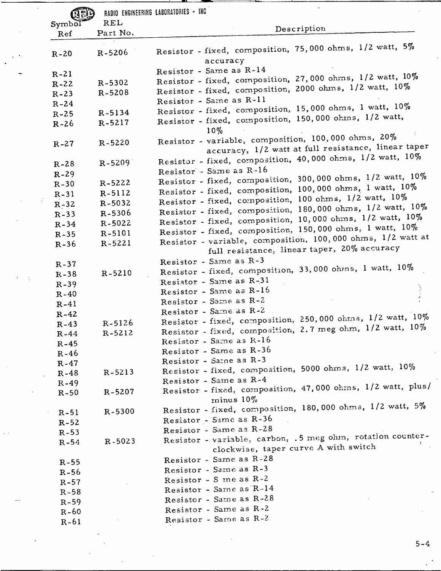|          |            | RADIO ENGINEERING LABORATORIES . INC                                                                       |
|----------|------------|------------------------------------------------------------------------------------------------------------|
| Symbol   | <b>REL</b> | Description                                                                                                |
| Ref      | Part No.   |                                                                                                            |
| $R - 20$ | $R - 5206$ | Resistor - fixed, composition, 75,000 ohms, 1/2 watt, 5%<br>accuracy                                       |
| $R-21$   |            | Resistor - Same as R-14                                                                                    |
| $R-22$   | R-5302     | Resistor - fixed, composition, 27,000 ohms, 1/2 watt, 10%                                                  |
| $R - 23$ | R-5208     | Resistor - fixed, composition, 2000 ohms, 1/2 watt, 10%                                                    |
| $R - 24$ |            | Resistor - Same as R-11                                                                                    |
| $R-25$   | $R - 5134$ | Resistor - fixed, composition, 15,000 ohms, 1 watt, 10%                                                    |
| $R-26$   | $R - 5217$ | Resistor - fixed, composition, 150,000 ohms, 1/2 watt,<br>$10\%$                                           |
| $R - 27$ | $R - 5220$ | Resistor - variable, composition, 100,000 ohms, 20%<br>accuracy, 1/2 watt at full resistance, linear taper |
| $R-28$   | R-5209     | Resistor - fixed, composition, 40,000 ohms, 1/2 watt, 10%                                                  |
| $R - 29$ |            | Resistor - Same as R-16                                                                                    |
| $R-30$   | R-5222     | Resistor - fixed, composition, 300,000 ohms, 1/2 watt, 10%                                                 |
| $R-31$   | R-5112     | Resistor - fixed, composition, 100,000 ohms, 1 watt, 10%                                                   |
| $R - 32$ | $R - 5032$ | Resistor - fixed, composition, 100 ohms, 1/2 watt, 10%                                                     |
| $R - 33$ | $R - 5306$ | Resistor - fixed, composition, 180,000 ohms, 1/2 watt, 10%                                                 |
| $R - 34$ | R-5022     | Resistor - fixed, composition, 10,000 ohms, 1/2 watt, 10%                                                  |
| $R-35$   | R-5101     | Resistor - fixed, composition, 150,000 ohms, 1 watt, 10%                                                   |
| $R - 36$ | $R - 5221$ | Resistor - variable, composition, 100,000 ohms, 1/2 watt at<br>full resistance, linear taper, 20% accuracy |
| $R - 37$ |            | Resistor - Same as R-3                                                                                     |
| $R - 38$ | R-5210     | Resistor - fixed, composition, 33,000 ohms, 1 watt, 10%                                                    |
| $R - 39$ |            | Resistor - Same as R-31                                                                                    |
| $R-40$   |            | Resistor - Same as R-16                                                                                    |
| $R-41$   |            | Resistor - Same as R-2                                                                                     |
| $R - 42$ |            | Resistor - Same as R-2                                                                                     |
| $R - 43$ | $R - 5126$ | Resistor - fixed, composition, 250,000 ohms, 1/2 watt, 10%                                                 |
| $R-44$   | $R - 5212$ | Resistor - fixed, composition, 2.7 meg ohm, 1/2 watt, 10%                                                  |
| $R-45$   |            | Resistor - Same as R-16                                                                                    |
| $R-46$   |            | Resistor - Same as R-36                                                                                    |
| $R-47$   |            | Resistor - Same as R-3                                                                                     |
| $R-48$   | R-5213     | Resistor - fixed, composition, 5000 ohms, 1/2 watt, 10%                                                    |
| $R - 49$ |            | Resistor - Same as R-4                                                                                     |
| $R-50$   | $R - 5207$ | Resistor - fixed, composition, 47,000 ohms, 1/2 watt, plus/<br>$minus 10\%$                                |
| $R-51$   | $R - 5300$ | Resistor - fixed, composition, 180,000 ohms, 1/2 watt, 5%                                                  |
| $R - 52$ |            | Resistor - Same as R-36                                                                                    |
| $R - 53$ |            | Resistor - Same as R-28                                                                                    |
| $R-54$   | $R - 5023$ | Resistor - variable, carbon, .5 meg ohm, rotation counter-<br>clockwise, taper curve A with switch         |
| $R-55$   |            | Resistor - Same as R-28                                                                                    |
| $R-56$   |            | Resistor - Same as R-3                                                                                     |
| $R - 57$ |            | Resistor - S me as R-2                                                                                     |
| $R - 58$ |            | Resistor - Same as R-14                                                                                    |
| $R - 59$ |            | Resistor - Same as R-28                                                                                    |
| $R - 60$ |            | Resistor - Same as R-2                                                                                     |
| $R-61$   |            | Resistor - Same as R-2                                                                                     |
|          |            |                                                                                                            |

 $\frac{1}{4}$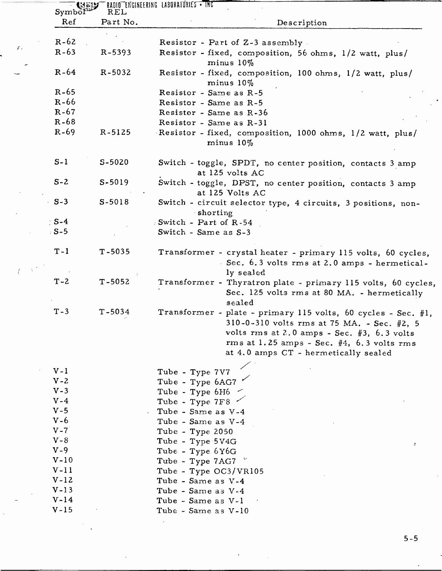| Ref <sub>1</sub> | Part No.   | Description                                                                                                                                                                                                                                              |
|------------------|------------|----------------------------------------------------------------------------------------------------------------------------------------------------------------------------------------------------------------------------------------------------------|
|                  |            |                                                                                                                                                                                                                                                          |
| $R - 62$         |            | Resistor - Part of Z-3 assembly                                                                                                                                                                                                                          |
| $R - 63$         | R-5393     | Resistor - fixed, composition, 56 ohms, 1/2 watt, plus/<br>$minus 10\%$                                                                                                                                                                                  |
| $R-64$           | R-5032     | Resistor - fixed, composition, 100 ohms, 1/2 watt, plus/<br>minus $10\%$                                                                                                                                                                                 |
| $R - 65$         |            | Resistor - Same as R-5                                                                                                                                                                                                                                   |
| $R-66$           |            | Resistor - Same as R-5                                                                                                                                                                                                                                   |
| $R - 67$         |            | Resistor - Same as R-36                                                                                                                                                                                                                                  |
| $R - 68$         |            | Resistor - Same as R-31                                                                                                                                                                                                                                  |
| $R - 69$         | R-5125     | Resistor - fixed, composition, 1000 ohms, 1/2 watt, plus/<br>$minus 10\%$                                                                                                                                                                                |
| $S-1$            | $S-5020$   | Switch - toggle, SPDT, no center position, contacts 3 amp<br>at 125 volts AC                                                                                                                                                                             |
| $S - 2$          | $S-5019$   | Switch - toggle, DPST, no center position, contacts 3 amp<br>at 125 Volts AC                                                                                                                                                                             |
| $\cdot$ S-3      | $S-5018$   | Switch - circuit selector type, 4 circuits, 3 positions, non-<br>shorting                                                                                                                                                                                |
| $S-4$            |            | Switch - Part of $R-54$                                                                                                                                                                                                                                  |
| $5 - 5$          |            | Switch - Same as S-3                                                                                                                                                                                                                                     |
| $T - 1$          | $T - 5035$ | Transformer - crystal heater - primary 115 volts, 60 cycles,<br>Sec. 6.3 volts rms at 2.0 amps - hermetical-<br>ly sealed                                                                                                                                |
| $T - 2$          | $T - 5052$ | Transformer - Thyratron plate - primary 115 volts, 60 cycles,<br>Sec. 125 volts rms at 80 MA. - hermetically<br>sealed                                                                                                                                   |
| $T - 3$          | $T - 5034$ | Transformer - plate - primary 115 volts, 60 cycles - Sec. #1,<br>310-0-310 volts rms at 75 MA. - Sec. #2, 5<br>volts rms at 2.0 amps - Sec. $#3$ , 6.3 volts<br>rms at $1.25$ amps - Sec. $#4$ , $6.3$ volts rms<br>at 4.0 amps CT - hermetically sealed |
| $V-I$            |            | Tube - Type 7V7                                                                                                                                                                                                                                          |
| $V - 2$          |            | Tube - Type 6AG7                                                                                                                                                                                                                                         |
| $V - 3$          |            | Tube - Type 6H6                                                                                                                                                                                                                                          |
| $V - 4$          |            | Tube - Type 7F8                                                                                                                                                                                                                                          |
| $V - 5$          |            | Tube - Same as V-4                                                                                                                                                                                                                                       |
| $V - 6$          |            | Tube - Same as V-4                                                                                                                                                                                                                                       |
| $V - 7$          |            | Tube - Type 2050                                                                                                                                                                                                                                         |
| $V - 8$          |            | Tube - Type 5V4G                                                                                                                                                                                                                                         |
| $V - 9$          |            | ÷<br>Tube - Type 6Y6G                                                                                                                                                                                                                                    |
| $V-10$           |            | Tube - Type 7AG7                                                                                                                                                                                                                                         |
| $V-11$           |            | Tube - Type OC3/VR105                                                                                                                                                                                                                                    |
| $V-12$           |            | Tube - Same as V-4                                                                                                                                                                                                                                       |
| $V-13$           |            | Tube - Same as V-4                                                                                                                                                                                                                                       |
| $V-14$           |            | Tube - Same as V-1                                                                                                                                                                                                                                       |
| $V-15$           |            | Tube - Same as V-10                                                                                                                                                                                                                                      |
|                  |            |                                                                                                                                                                                                                                                          |

 $\mathcal{F}$  ,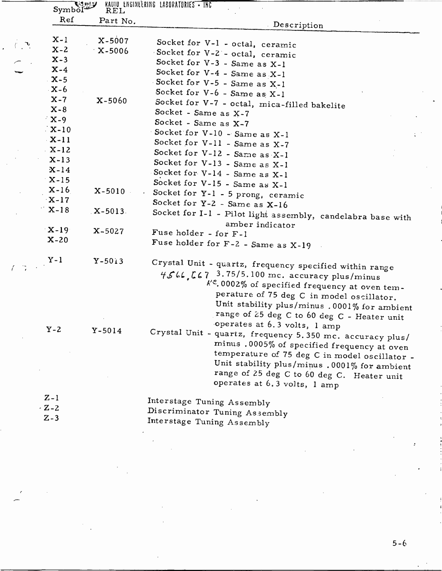| Symbol           | いっツ<br>REL | RADIO ENGINEERING LABORATORIES - INC                                                                                                                                                                                                                                                    |
|------------------|------------|-----------------------------------------------------------------------------------------------------------------------------------------------------------------------------------------------------------------------------------------------------------------------------------------|
| Ref              | Part No.   | Description                                                                                                                                                                                                                                                                             |
| $X-1$            | $X-5007$   | Socket for V-1 - octal, ceramic                                                                                                                                                                                                                                                         |
| $X - 2$          | $X - 5006$ | Socket for V-2 - octal, ceramic                                                                                                                                                                                                                                                         |
| $X-3$            |            | Socket for V-3 - Same as X-1                                                                                                                                                                                                                                                            |
| $X-4$            |            | Socket for V-4 - Same as X-1                                                                                                                                                                                                                                                            |
| $X-5$            |            | Socket for V-5 - Same as X-1                                                                                                                                                                                                                                                            |
| $\mathbf{X} - 6$ |            |                                                                                                                                                                                                                                                                                         |
| $X - 7$          | $X - 5060$ | Socket for V-6 - Same as X-1                                                                                                                                                                                                                                                            |
| $X - 8$          |            | Socket for V-7 - octal, mica-filled bakelite                                                                                                                                                                                                                                            |
| $X-9$            |            | Socket - Same as X-7                                                                                                                                                                                                                                                                    |
| $X-10$           |            | Socket - Same as X-7                                                                                                                                                                                                                                                                    |
| $\mathbf{X}-11$  |            | Socket for V-10 - Same as X-1                                                                                                                                                                                                                                                           |
| $X-12$           |            | Socket for V-11 - Same as X-7                                                                                                                                                                                                                                                           |
|                  |            | Socket for V-12 - Same as X-1                                                                                                                                                                                                                                                           |
| $X-13$           |            | Socket for V-13 - Same as X-1                                                                                                                                                                                                                                                           |
| $X-14$           |            | Socket for V-14 - Same as X-1                                                                                                                                                                                                                                                           |
| $X-15$           |            | Socket for V-15 - Same as X-1                                                                                                                                                                                                                                                           |
| $X-16$           | $X-5010$   | Socket for Y-1 - 5 prong, ceramic                                                                                                                                                                                                                                                       |
| $\mathbf{X}-17$  |            | Socket for Y-2 - Same as X-16                                                                                                                                                                                                                                                           |
| $X-18$           | $X-5013$   | Socket for I-1 - Pilot light assembly, candelabra base with                                                                                                                                                                                                                             |
| $X-19$           | $X - 5027$ | amber indicator<br>Fuse holder - for F-1                                                                                                                                                                                                                                                |
| $X-20$           |            |                                                                                                                                                                                                                                                                                         |
|                  |            | Fuse holder for F-2 - Same as X-19                                                                                                                                                                                                                                                      |
| $Y-1$            | $Y - 5013$ | Crystal Unit - quartz, frequency specified within range                                                                                                                                                                                                                                 |
|                  |            | 4566, [67 3.75/5.100 mc. accuracy plus/minus<br>k' <sup>e</sup> .0002% of specified frequency at oven tem-<br>perature of 75 deg C in model oscillator.<br>Unit stability plus/minus .0001% for ambient<br>range of 25 deg C to 60 deg C - Heater unit<br>operates at 6.3 volts, 1 amp  |
| $Y - 2$          | $Y-5014$   | Crystal Unit - quartz, frequency 5.350 mc. accuracy plus/<br>minus .0005% of specified frequency at oven<br>temperature of 75 deg C in model oscillator -<br>Unit stability plus/minus .0001% for ambient<br>range of 25 deg C to 60 deg C. Heater unit<br>operates at 6.3 volts, 1 amp |
| $Z-1$            |            | Interstage Tuning Assembly                                                                                                                                                                                                                                                              |
| $-Z-2$           |            |                                                                                                                                                                                                                                                                                         |
| $Z - 3$          |            | Discriminator Tuning Assembly                                                                                                                                                                                                                                                           |
|                  |            | Interstage Tuning Assembly                                                                                                                                                                                                                                                              |
|                  |            |                                                                                                                                                                                                                                                                                         |